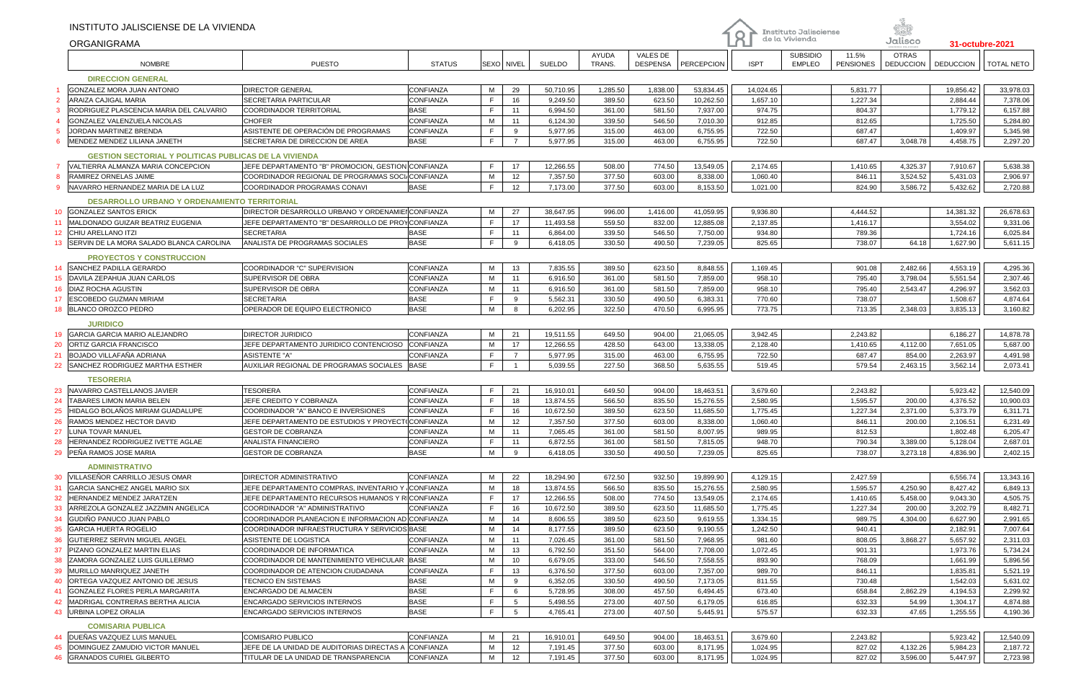|                 | INSTITUTO JALISCIENSE DE LA VIVIENDA                         |                                                          |                          |                       |                      |                  |                             |                      |                  |                                         |                           |                                  |                      |                      |
|-----------------|--------------------------------------------------------------|----------------------------------------------------------|--------------------------|-----------------------|----------------------|------------------|-----------------------------|----------------------|------------------|-----------------------------------------|---------------------------|----------------------------------|----------------------|----------------------|
|                 | <b>ORGANIGRAMA</b>                                           |                                                          |                          |                       |                      |                  |                             |                      | Q                | Instituto Jalisciense<br>de la Vivienda |                           | Jalisco                          | 31-octubre-2021      |                      |
|                 | <b>NOMBRE</b>                                                | <b>PUESTO</b>                                            | <b>STATUS</b>            | SEXO NIVEL            | SUELDO               | AYUDA<br>TRANS.  | VALES DE<br><b>DESPENSA</b> | PERCEPCION           | <b>ISPT</b>      | <b>SUBSIDIO</b><br><b>EMPLEO</b>        | 11.5%<br><b>PENSIONES</b> | <b>OTRAS</b><br><b>DEDUCCION</b> | <b>DEDUCCION</b>     | <b>TOTAL NETO</b>    |
|                 | <b>DIRECCION GENERAL</b>                                     |                                                          |                          |                       |                      |                  |                             |                      |                  |                                         |                           |                                  |                      |                      |
|                 | <b>GONZALEZ MORA JUAN ANTONIO</b>                            | <b>DIRECTOR GENERAL</b>                                  | CONFIANZA                | M<br>29               | 50,710.95            | 1,285.50         | 1,838.00                    | 53,834.45            | 14,024.65        |                                         | 5,831.77                  |                                  | 19,856.42            | 33,978.03            |
|                 | <b>ARAIZA CAJIGAL MARIA</b>                                  | SECRETARIA PARTICULAR                                    | CONFIANZA                | F<br>16               | 9,249.50             | 389.50           | 623.50                      | 10,262.50            | 1,657.10         |                                         | 1,227.34                  |                                  | 2,884.44             | 7,378.06             |
|                 | RODRIGUEZ PLASCENCIA MARIA DEL CALVARIO                      | COORDINADOR TERRITORIAL                                  | <b>BASE</b>              | F<br>11               | 6,994.50             | 361.00           | 581.50                      | 7,937.00             | 974.75           |                                         | 804.37                    |                                  | 1,779.12             | 6,157.88             |
|                 | GONZALEZ VALENZUELA NICOLAS                                  | <b>CHOFER</b>                                            | CONFIANZA                | M<br>11               | 6,124.30             | 339.50           | 546.50                      | 7,010.30             | 912.85           |                                         | 812.65                    |                                  | 1,725.50             | 5,284.80             |
|                 | JORDAN MARTINEZ BRENDA                                       | ASISTENTE DE OPERACIÓN DE PROGRAMAS                      | CONFIANZA                | F<br>9                | 5,977.95             | 315.00           | 463.00                      | 6,755.95             | 722.50           |                                         | 687.47                    |                                  | 1,409.97             | 5,345.98             |
| -6              | MENDEZ MENDEZ LILIANA JANETH                                 | SECRETARIA DE DIRECCION DE AREA                          | <b>BASE</b>              | F<br>$\overline{7}$   | 5,977.95             | 315.00           | 463.00                      | 6,755.95             | 722.50           |                                         | 687.47                    | 3,048.78                         | 4,458.75             | 2,297.20             |
|                 | <b>GESTION SECTORIAL Y POLITICAS PUBLICAS DE LA VIVIENDA</b> |                                                          |                          |                       |                      |                  |                             |                      |                  |                                         |                           |                                  |                      |                      |
|                 | VALTIERRA ALMANZA MARIA CONCEPCION                           | JEFE DEPARTAMENTO "B" PROMOCION, GESTION CONFIANZA       |                          | F<br>17               | 12,266.55            | 508.00           | 774.50                      | 13,549.05            | 2,174.65         |                                         | 1,410.65                  | 4,325.37                         | 7,910.67             | 5,638.38             |
|                 | <b>RAMIREZ ORNELAS JAIME</b>                                 | COORDINADOR REGIONAL DE PROGRAMAS SOCI/CONFIANZA         |                          | М<br>12               | 7,357.50             | 377.50           | 603.00                      | 8,338.00             | 1,060.40         |                                         | 846.11                    | 3,524.52                         | 5,431.03             | 2,906.97             |
|                 | NAVARRO HERNANDEZ MARIA DE LA LUZ                            | COORDINADOR PROGRAMAS CONAVI                             | <b>BASE</b>              | F<br>12               | 7,173.00             | 377.50           | 603.00                      | 8,153.50             | 1,021.00         |                                         | 824.90                    | 3,586.72                         | 5,432.62             | 2,720.88             |
|                 | <b>DESARROLLO URBANO Y ORDENAMIENTO TERRITORIAL</b>          |                                                          |                          |                       |                      |                  |                             |                      |                  |                                         |                           |                                  |                      |                      |
| 10 <sup>°</sup> | <b>GONZALEZ SANTOS ERICK</b>                                 | DIRECTOR DESARROLLO URBANO Y ORDENAMIEI CONFIANZA        |                          | М<br>27               | 38,647.95            | 996.00           | 1,416.00                    | 41,059.95            | 9,936.80         |                                         | 4,444.52                  |                                  | 14,381.32            | 26,678.63            |
| 11              | MALDONADO GUIZAR BEATRIZ EUGENIA                             | JEFE DEPARTAMENTO "B" DESARROLLO DE PROYCONFIANZA        |                          | F<br>17               | 11,493.58            | 559.50           | 832.00                      | 12,885.08            | 2,137.85         |                                         | 1,416.17                  |                                  | 3,554.02             | 9,331.06             |
| 12 <sup>°</sup> | <b>CHIU ARELLANO ITZI</b>                                    | <b>SECRETARIA</b>                                        | <b>BASE</b>              | F<br>11               | 6,864.00             | 339.50           | 546.50                      | 7,750.00             | 934.80           |                                         | 789.36                    |                                  | 1,724.16             | 6,025.84             |
| 13              | SERVIN DE LA MORA SALADO BLANCA CAROLINA                     | ANALISTA DE PROGRAMAS SOCIALES                           | <b>BASE</b>              | F<br>9                | 6,418.05             | 330.50           | 490.50                      | 7,239.05             | 825.65           |                                         | 738.07                    | 64.18                            | 1,627.90             | 5,611.15             |
|                 | <b>PROYECTOS Y CONSTRUCCION</b>                              |                                                          |                          |                       |                      |                  |                             |                      |                  |                                         |                           |                                  |                      |                      |
| 14              | <b>SANCHEZ PADILLA GERARDO</b>                               | COORDINADOR "C" SUPERVISION                              | CONFIANZA                | М<br>13               | 7,835.55             | 389.50           | 623.50                      | 8,848.55             | 1,169.45         |                                         | 901.08                    | 2,482.66                         | 4,553.19             | 4,295.36             |
| 15              | DAVILA ZEPAHUA JUAN CARLOS                                   | SUPERVISOR DE OBRA                                       | CONFIANZA                | M<br>11               | 6,916.50             | 361.00           | 581.50                      | 7,859.00             | 958.10           |                                         | 795.40                    | 3,798.04                         | 5,551.54             | 2,307.46             |
| 16              | <b>DIAZ ROCHA AGUSTIN</b>                                    | SUPERVISOR DE OBRA                                       | CONFIANZA                | м<br>11               | 6,916.50             | 361.00           | 581.50                      | 7,859.00             | 958.10           |                                         | 795.40                    | 2,543.47                         | 4,296.97             | 3,562.03             |
| 17              | ESCOBEDO GUZMAN MIRIAM                                       | <b>SECRETARIA</b>                                        | <b>BASE</b>              | F<br>9                | 5,562.31             | 330.50           | 490.50                      | 6,383.31             | 770.60           |                                         | 738.07                    |                                  | 1,508.67             | 4,874.64             |
| 18              | BLANCO OROZCO PEDRO                                          | OPERADOR DE EQUIPO ELECTRONICO                           | <b>BASE</b>              | М<br>8                | 6,202.95             | 322.50           | 470.50                      | 6,995.95             | 773.75           |                                         | 713.35                    | 2,348.03                         | 3,835.13             | 3,160.82             |
|                 | <b>JURIDICO</b>                                              |                                                          |                          |                       |                      |                  |                             |                      |                  |                                         |                           |                                  |                      |                      |
| 19              | GARCIA GARCIA MARIO ALEJANDRO                                | DIRECTOR JURIDICO                                        | CONFIANZA                | М<br>21               | 19,511.55            | 649.50           | 904.00                      | 21,065.05            | 3,942.45         |                                         | 2,243.82                  |                                  | 6,186.27             | 14,878.78            |
| 20              | ORTIZ GARCIA FRANCISCO                                       | JEFE DEPARTAMENTO JURIDICO CONTENCIOSO                   | <b>CONFIANZA</b>         | М<br>17               | 12,266.55            | 428.50           | 643.00                      | 13,338.05            | 2,128.40         |                                         | 1,410.65                  | 4,112.00                         | 7,651.05             | 5,687.00             |
| 21              | <b>BOJADO VILLAFAÑA ADRIANA</b>                              | <b>ASISTENTE "A"</b>                                     | <b>CONFIANZA</b>         | F<br>$\overline{7}$   | 5,977.95             | 315.00           | 463.00                      | 6,755.95             | 722.50           |                                         | 687.47                    | 854.00                           | 2,263.97             | 4,491.98             |
| 22              | SANCHEZ RODRIGUEZ MARTHA ESTHER                              | AUXILIAR REGIONAL DE PROGRAMAS SOCIALES                  | <b>BASE</b>              | F<br>$\overline{1}$   | 5,039.55             | 227.50           | 368.50                      | 5,635.55             | 519.45           |                                         | 579.54                    | 2,463.15                         | 3,562.14             | 2,073.41             |
|                 | <b>TESORERIA</b>                                             |                                                          |                          |                       |                      |                  |                             |                      |                  |                                         |                           |                                  |                      |                      |
| 23              | NAVARRO CASTELLANOS JAVIER                                   | TESORERA                                                 | CONFIANZA                | F<br>21               | 16,910.01            | 649.50           | 904.00                      | 18,463.51            | 3,679.60         |                                         | 2,243.82                  |                                  | 5,923.42             | 12,540.09            |
| 24              | TABARES LIMON MARIA BELEN                                    | JEFE CREDITO Y COBRANZA                                  | CONFIANZA                | F<br>18               | 13,874.55            | 566.50           | 835.50                      | 15,276.55            | 2,580.95         |                                         | 1,595.57                  | 200.00                           | 4,376.52             | 10,900.03            |
| 25              | HIDALGO BOLANOS MIRIAM GUADALUPE                             | COORDINADOR "A" BANCO E INVERSIONES                      | <b>CONFIANZA</b>         | F<br>16               | 10,672.50            | 389.50           | 623.50                      | 11,685.50            | 1,775.45         |                                         | 1,227.34                  | 2,371.00                         | 5,373.79             | 6,311.71             |
| 26              | RAMOS MENDEZ HECTOR DAVID                                    | JEFE DEPARTAMENTO DE ESTUDIOS Y PROYECT(CONFIANZA        |                          | M<br>12               | 7,357.50             | 377.50           | 603.00                      | 8,338.00             | 1,060.40         |                                         | 846.11                    | 200.00                           | 2,106.51             | 6,231.49             |
| 27              | LUNA TOVAR MANUEL                                            | <b>GESTOR DE COBRANZA</b>                                | CONFIANZA                | M<br>11               | 7,065.45             | 361.00           | 581.50                      | 8,007.95             | 989.95           |                                         | 812.53                    |                                  | 1,802.48             | 6,205.47             |
| 28              | HERNANDEZ RODRIGUEZ IVETTE AGLAE                             | ANALISTA FINANCIERO                                      | <b>CONFIANZA</b>         | F<br>11               | 6,872.55             | 361.00           | 581.50                      | 7,815.05             | 948.70           |                                         | 790.34                    | 3,389.00                         | 5,128.04             | 2,687.01             |
| 29              | PEÑA RAMOS JOSE MARIA                                        | <b>GESTOR DE COBRANZA</b>                                | <b>BASE</b>              | M<br>9                | 6,418.05             | 330.50           | 490.50                      | 7,239.05             | 825.65           |                                         | 738.07                    | 3,273.18                         | 4,836.90             | 2,402.15             |
|                 | <b>ADMINISTRATIVO</b>                                        |                                                          |                          |                       |                      |                  |                             |                      |                  |                                         |                           |                                  |                      |                      |
| 30              | VILLASEÑOR CARRILLO JESUS OMAR                               | DIRECTOR ADMINISTRATIVO                                  | CONFIANZA                | 22<br>М               | 18,294.90            | 672.50           | 932.50                      | 19,899.90            | 4,129.15         |                                         | 2,427.59                  |                                  | 6,556.74             | 13,343.16            |
| 31              | <b>GARCIA SANCHEZ ANGEL MARIO SIX</b>                        | JEFE DEPARTAMENTO COMPRAS. INVENTARIO Y , CONFIANZA      |                          | M<br>18               | 13,874.55            | 566.50           | 835.50                      | 15,276.55            | 2,580.95         |                                         | 1,595.57                  | 4,250.90                         | 8,427.42             | 6,849.13             |
| 32              | HERNANDEZ MENDEZ JARATZEN                                    | JEFE DEPARTAMENTO RECURSOS HUMANOS Y R∥CONFIANZA         |                          | F.<br>17              | 12,266.55            | 508.00           | 774.50                      | 13,549.05            | 2,174.65         |                                         | 1,410.65                  | 5,458.00                         | 9,043.30             | 4,505.75             |
| 33              | ARREZOLA GONZALEZ JAZZMIN ANGELICA                           | COORDINADOR "A" ADMINISTRATIVO                           | CONFIANZA                | F<br>16               | 10,672.50            | 389.50           | 623.50                      | 11,685.50            | 1,775.45         |                                         | 1.227.34                  | 200.00                           | 3,202.79             | 8,482.71             |
| 34              | GUDINO PANUCO JUAN PABLO                                     | COORDINADOR PLANEACION E INFORMACION AD CONFIANZA        |                          | м<br>14               | 8,606.55             | 389.50           | 623.50                      | 9,619.55             | 1,334.15         |                                         | 989.75                    | 4,304.00                         | 6,627.90             | 2,991.65             |
| 35              | <b>GARCIA HUERTA ROGELIO</b>                                 | COORDINADOR INFRAESTRUCTURA Y SERVICIOS BASE             |                          | M<br>14               | 8,177.55             | 389.50           | 623.50                      | 9,190.55             | 1,242.50         |                                         | 940.41                    |                                  | 2,182.91             | 7,007.64             |
| 36              | GUTIERREZ SERVIN MIGUEL ANGEL                                | ASISTENTE DE LOGISTICA                                   | CONFIANZA                | M<br>11               | 7,026.45             | 361.00           | 581.50                      | 7,968.95             | 981.60           |                                         | 808.05                    | 3,868.27                         | 5,657.92             | 2,311.03             |
| 37              | PIZANO GONZALEZ MARTIN ELIAS                                 | COORDINADOR DE INFORMATICA                               | CONFIANZA                | М<br>13               | 6,792.50             | 351.50           | 564.00                      | 7,708.00             | 1,072.45         |                                         | 901.31                    |                                  | 1,973.76             | 5,734.24             |
| 38              | ZAMORA GONZALEZ LUIS GUILLERMO                               | COORDINADOR DE MANTENIMIENTO VEHICULAR BASE              |                          | М<br>10<br>F          | 6,679.05             | 333.00           | 546.50                      | 7,558.55             | 893.90           |                                         | 768.09                    |                                  | 1,661.99             | 5,896.56             |
| 39<br>40        | MURILLO MANRIQUEZ JANETH<br>ORTEGA VAZQUEZ ANTONIO DE JESUS  | COORDINADOR DE ATENCION CIUDADANA<br>TECNICO EN SISTEMAS | CONFIANZA<br><b>BASE</b> | 13<br>M<br>9          | 6,376.50<br>6,352.05 | 377.50<br>330.50 | 603.00<br>490.50            | 7,357.00<br>7,173.05 | 989.70<br>811.55 |                                         | 846.11<br>730.48          |                                  | 1,835.81<br>1,542.03 | 5,521.19<br>5,631.02 |
| 41              | GONZALEZ FLORES PERLA MARGARITA                              | ENCARGADO DE ALMACEN                                     | <b>BASE</b>              | F.<br>6               | 5,728.95             | 308.00           | 457.50                      | 6,494.45             | 673.40           |                                         | 658.84                    | 2,862.29                         | 4,194.53             | 2,299.92             |
| 42              | MADRIGAL CONTRERAS BERTHA ALICIA                             | ENCARGADO SERVICIOS INTERNOS                             | <b>BASE</b>              | F<br>$5\overline{)}$  | 5,498.55             | 273.00           | 407.50                      | 6,179.05             | 616.85           |                                         | 632.33                    | 54.99                            | 1,304.17             | 4,874.88             |
| 43              | URBINA LOPEZ ORALIA                                          | ENCARGADO SERVICIOS INTERNOS                             | <b>BASE</b>              | $5\overline{5}$<br>F. | 4,765.41             | 273.00           | 407.50                      | 5,445.91             | 575.57           |                                         | 632.33                    | 47.65                            | 1,255.55             | 4,190.36             |
|                 |                                                              |                                                          |                          |                       |                      |                  |                             |                      |                  |                                         |                           |                                  |                      |                      |
|                 | <b>COMISARIA PUBLICA</b><br>44 DUEÑAS VAZQUEZ LUIS MANUEL    | COMISARIO PUBLICO                                        | CONFIANZA                | M<br>21               | 16,910.01            | 649.50           | 904.00                      | 18,463.51            | 3,679.60         |                                         | 2,243.82                  |                                  | 5,923.42             | 12,540.09            |
| 45              | DOMINGUEZ ZAMUDIO VICTOR MANUEL                              | JEFE DE LA UNIDAD DE AUDITORIAS DIRECTAS A CONFIANZA     |                          | M<br>12               | 7,191.45             | 377.50           | 603.00                      | 8,171.95             | 1,024.95         |                                         | 827.02                    | 4,132.26                         | 5,984.23             | 2,187.72             |
| 46              | <b>GRANADOS CURIEL GILBERTO</b>                              | TITULAR DE LA UNIDAD DE TRANSPARENCIA                    | CONFIANZA                | М<br>12               | 7,191.45             | 377.50           | 603.00                      | 8,171.95             | 1,024.95         |                                         | 827.02                    | 3,596.00                         | 5,447.97             | 2,723.98             |